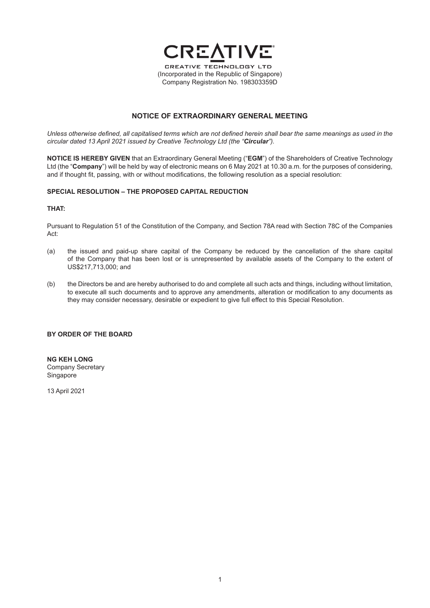

# **NOTICE OF EXTRAORDINARY GENERAL MEETING**

*Unless otherwise defined, all capitalised terms which are not defined herein shall bear the same meanings as used in the circular dated 13 April 2021 issued by Creative Technology Ltd (the "Circular").*

**NOTICE IS HEREBY GIVEN** that an Extraordinary General Meeting ("**EGM**") of the Shareholders of Creative Technology Ltd (the "**Company**") will be held by way of electronic means on 6 May 2021 at 10.30 a.m. for the purposes of considering, and if thought fit, passing, with or without modifications, the following resolution as a special resolution:

# **SPECIAL RESOLUTION – THE PROPOSED CAPITAL REDUCTION**

# **THAT:**

Pursuant to Regulation 51 of the Constitution of the Company, and Section 78A read with Section 78C of the Companies Act:

- (a) the issued and paid-up share capital of the Company be reduced by the cancellation of the share capital of the Company that has been lost or is unrepresented by available assets of the Company to the extent of US\$217,713,000; and
- (b) the Directors be and are hereby authorised to do and complete all such acts and things, including without limitation, to execute all such documents and to approve any amendments, alteration or modification to any documents as they may consider necessary, desirable or expedient to give full effect to this Special Resolution.

## **BY ORDER OF THE BOARD**

**NG KEH LONG** Company Secretary **Singapore** 

13 April 2021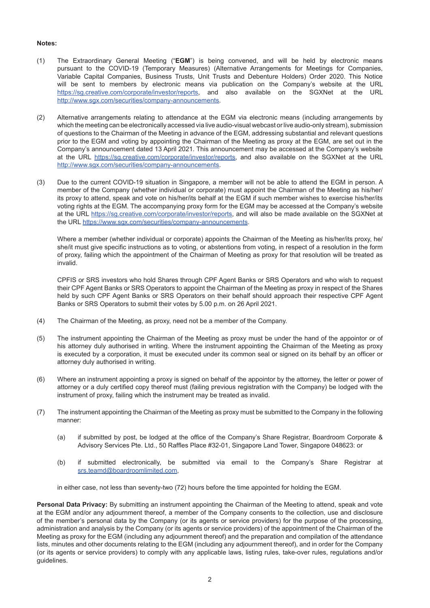# **Notes:**

- (1) The Extraordinary General Meeting ("**EGM**") is being convened, and will be held by electronic means pursuant to the COVID-19 (Temporary Measures) (Alternative Arrangements for Meetings for Companies, Variable Capital Companies, Business Trusts, Unit Trusts and Debenture Holders) Order 2020. This Notice will be sent to members by electronic means via publication on the Company's website at the URL https://sg.creative.com/corporate/investor/reports, and also available on the SGXNet at the URL http://www.sgx.com/securities/company-announcements.
- (2) Alternative arrangements relating to attendance at the EGM via electronic means (including arrangements by which the meeting can be electronically accessed via live audio-visual webcast or live audio-only stream), submission of questions to the Chairman of the Meeting in advance of the EGM, addressing substantial and relevant questions prior to the EGM and voting by appointing the Chairman of the Meeting as proxy at the EGM, are set out in the Company's announcement dated 13 April 2021. This announcement may be accessed at the Company's website at the URL https://sg.creative.com/corporate/investor/reports, and also available on the SGXNet at the URL http://www.sgx.com/securities/company-announcements.
- (3) Due to the current COVID-19 situation in Singapore, a member will not be able to attend the EGM in person. A member of the Company (whether individual or corporate) must appoint the Chairman of the Meeting as his/her/ its proxy to attend, speak and vote on his/her/its behalf at the EGM if such member wishes to exercise his/her/its voting rights at the EGM. The accompanying proxy form for the EGM may be accessed at the Company's website at the URL https://sg.creative.com/corporate/investor/reports, and will also be made available on the SGXNet at the URL https://www.sgx.com/securities/company-announcements.

Where a member (whether individual or corporate) appoints the Chairman of the Meeting as his/her/its proxy, he/ she/it must give specific instructions as to voting, or abstentions from voting, in respect of a resolution in the form of proxy, failing which the appointment of the Chairman of Meeting as proxy for that resolution will be treated as invalid.

CPFIS or SRS investors who hold Shares through CPF Agent Banks or SRS Operators and who wish to request their CPF Agent Banks or SRS Operators to appoint the Chairman of the Meeting as proxy in respect of the Shares held by such CPF Agent Banks or SRS Operators on their behalf should approach their respective CPF Agent Banks or SRS Operators to submit their votes by 5.00 p.m. on 26 April 2021.

- (4) The Chairman of the Meeting, as proxy, need not be a member of the Company.
- (5) The instrument appointing the Chairman of the Meeting as proxy must be under the hand of the appointor or of his attorney duly authorised in writing. Where the instrument appointing the Chairman of the Meeting as proxy is executed by a corporation, it must be executed under its common seal or signed on its behalf by an officer or attorney duly authorised in writing.
- (6) Where an instrument appointing a proxy is signed on behalf of the appointor by the attorney, the letter or power of attorney or a duly certified copy thereof must (failing previous registration with the Company) be lodged with the instrument of proxy, failing which the instrument may be treated as invalid.
- (7) The instrument appointing the Chairman of the Meeting as proxy must be submitted to the Company in the following manner:
	- (a) if submitted by post, be lodged at the office of the Company's Share Registrar, Boardroom Corporate & Advisory Services Pte. Ltd., 50 Raffles Place #32-01, Singapore Land Tower, Singapore 048623: or
	- (b) if submitted electronically, be submitted via email to the Company's Share Registrar at srs.teamd@boardroomlimited.com,

in either case, not less than seventy-two (72) hours before the time appointed for holding the EGM.

**Personal Data Privacy:** By submitting an instrument appointing the Chairman of the Meeting to attend, speak and vote at the EGM and/or any adjournment thereof, a member of the Company consents to the collection, use and disclosure of the member's personal data by the Company (or its agents or service providers) for the purpose of the processing, administration and analysis by the Company (or its agents or service providers) of the appointment of the Chairman of the Meeting as proxy for the EGM (including any adjournment thereof) and the preparation and compilation of the attendance lists, minutes and other documents relating to the EGM (including any adjournment thereof), and in order for the Company (or its agents or service providers) to comply with any applicable laws, listing rules, take-over rules, regulations and/or guidelines.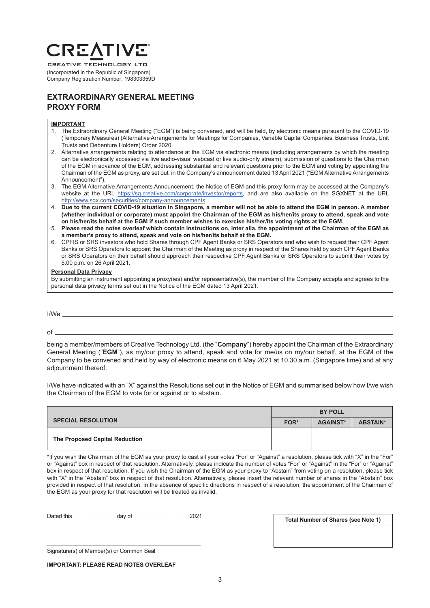# **CREA**

**CREATIVE TECHNOLOGY LTD** (Incorporated in the Republic of Singapore) Company Registration Number: 198303359D

# **EXTRAORDINARY GENERAL MEETING PROXY FORM**

## **IMPORTANT**

- 1. The Extraordinary General Meeting ("EGM") is being convened, and will be held, by electronic means pursuant to the COVID-19 (Temporary Measures) (Alternative Arrangements for Meetings for Companies, Variable Capital Companies, Business Trusts, Unit Trusts and Debenture Holders) Order 2020.
- 2. Alternative arrangements relating to attendance at the EGM via electronic means (including arrangements by which the meeting can be electronically accessed via live audio-visual webcast or live audio-only stream), submission of questions to the Chairman of the EGM in advance of the EGM, addressing substantial and relevant questions prior to the EGM and voting by appointing the Chairman of the EGM as proxy, are set out in the Company's announcement dated 13 April 2021 ("EGM Alternative Arrangements Announcement").
- 3. The EGM Alternative Arrangements Announcement, the Notice of EGM and this proxy form may be accessed at the Company's website at the URL https://sg.creative.com/corporate/investor/reports, and are also available on the SGXNET at the URL http://www.sgx.com/securities/company-announcements.
- 4. **Due to the current COVID-19 situation in Singapore, a member will not be able to attend the EGM in person. A member (whether individual or corporate) must appoint the Chairman of the EGM as his/her/its proxy to attend, speak and vote on his/her/its behalf at the EGM if such member wishes to exercise his/her/its voting rights at the EGM.**
- 5. **Please read the notes overleaf which contain instructions on, inter alia, the appointment of the Chairman of the EGM as a member's proxy to attend, speak and vote on his/her/its behalf at the EGM.**
- 6. CPFIS or SRS investors who hold Shares through CPF Agent Banks or SRS Operators and who wish to request their CPF Agent Banks or SRS Operators to appoint the Chairman of the Meeting as proxy in respect of the Shares held by such CPF Agent Banks or SRS Operators on their behalf should approach their respective CPF Agent Banks or SRS Operators to submit their votes by 5.00 p.m. on 26 April 2021.

## **Personal Data Privacy**

By submitting an instrument appointing a proxy(ies) and/or representative(s), the member of the Company accepts and agrees to the personal data privacy terms set out in the Notice of the EGM dated 13 April 2021.

I/We

 $of$   $\overline{\phantom{0}}$ 

being a member/members of Creative Technology Ltd. (the "**Company**") hereby appoint the Chairman of the Extraordinary General Meeting ("**EGM**"), as my/our proxy to attend, speak and vote for me/us on my/our behalf, at the EGM of the Company to be convened and held by way of electronic means on 6 May 2021 at 10.30 a.m. (Singapore time) and at any adjournment thereof.

I/We have indicated with an "X" against the Resolutions set out in the Notice of EGM and summarised below how I/we wish the Chairman of the EGM to vote for or against or to abstain.

|                                | <b>BY POLL</b> |                 |                 |
|--------------------------------|----------------|-----------------|-----------------|
| <b>SPECIAL RESOLUTION</b>      | FOR*           | <b>AGAINST*</b> | <b>ABSTAIN*</b> |
| The Proposed Capital Reduction |                |                 |                 |

\*If you wish the Chairman of the EGM as your proxy to cast all your votes "For" or "Against" a resolution, please tick with "X" in the "For" or "Against" box in respect of that resolution. Alternatively, please indicate the number of votes "For" or "Against" in the "For" or "Against" box in respect of that resolution. If you wish the Chairman of the EGM as your proxy to "Abstain" from voting on a resolution, please tick with "X" in the "Abstain" box in respect of that resolution. Alternatively, please insert the relevant number of shares in the "Abstain" box provided in respect of that resolution. In the absence of specific directions in respect of a resolution, the appointment of the Chairman of the EGM as your proxy for that resolution will be treated as invalid.

Dated this \_\_\_\_\_\_\_\_\_\_\_\_\_\_day of \_\_\_\_\_\_\_\_\_\_\_\_\_\_\_\_\_\_2021

**Total Number of Shares (see Note 1)**

Signature(s) of Member(s) or Common Seal

**IMPORTANT: PLEASE READ NOTES OVERLEAF**